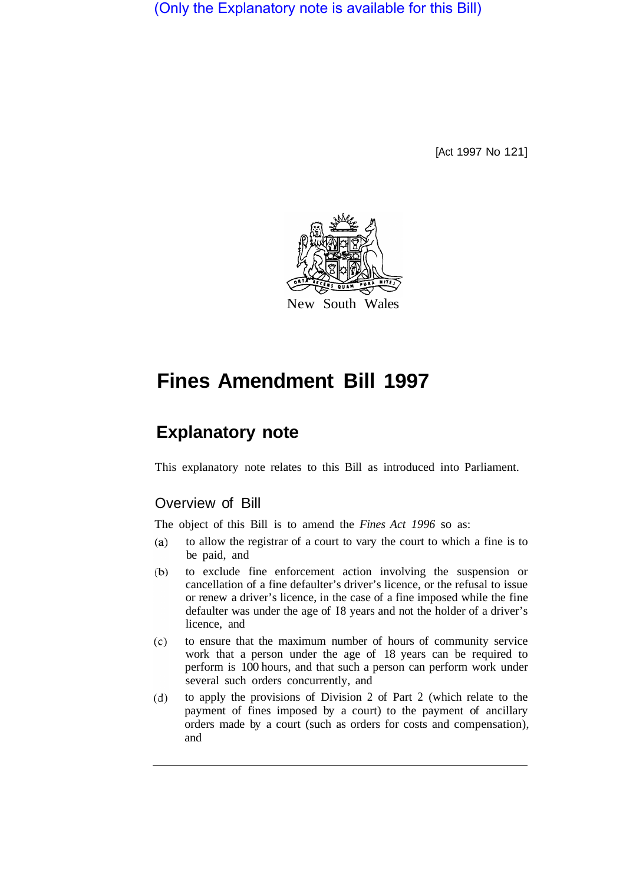(Only the Explanatory note is available for this Bill)

[Act 1997 No 121]



# **Fines Amendment Bill 1997**

# **Explanatory note**

This explanatory note relates to this Bill as introduced into Parliament.

## Overview of Bill

The object of this Bill is to amend the *Fines Act 1996* so as:

- $(a)$ to allow the registrar of a court to vary the court to which a fine is to be paid, and
- $(b)$ to exclude fine enforcement action involving the suspension or cancellation of a fine defaulter's driver's licence, or the refusal to issue or renew a driver's licence, in the case of a fine imposed while the fine defaulter was under the age of I8 years and not the holder of a driver's licence, and
- $(c)$ to ensure that the maximum number of hours of community service work that a person under the age of 18 years can be required to perform is 100 hours, and that such a person can perform work under several such orders concurrently, and
- $(d)$ to apply the provisions of Division 2 of Part 2 (which relate to the payment of fines imposed by a court) to the payment of ancillary orders made by a court (such as orders for costs and compensation), and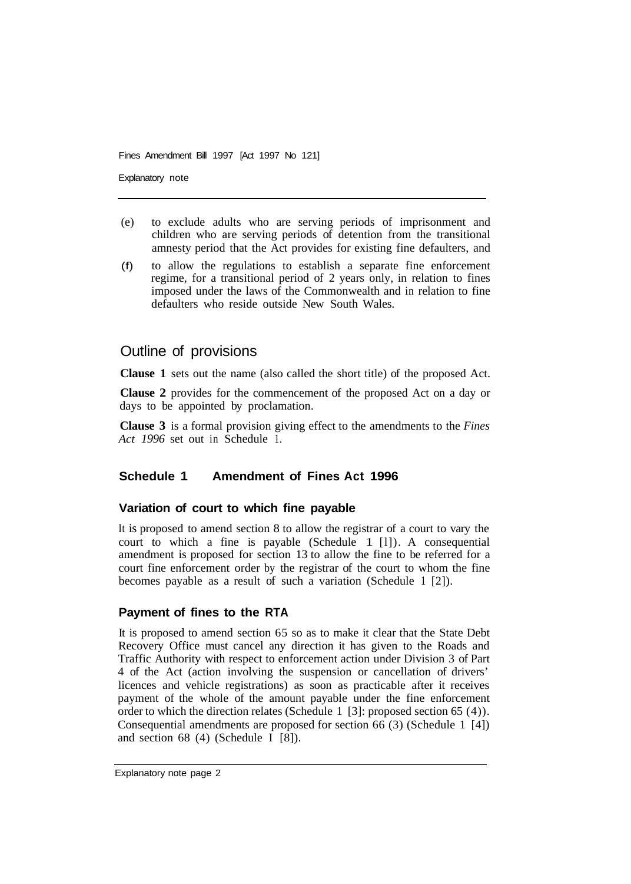Fines Amendment Bill 1997 [Act 1997 No 121]

Explanatory note

- (e) to exclude adults who are serving periods of imprisonment and children who are serving periods of detention from the transitional amnesty period that the Act provides for existing fine defaulters, and
- (f) to allow the regulations to establish a separate fine enforcement regime, for a transitional period of 2 years only, in relation to fines imposed under the laws of the Commonwealth and in relation to fine defaulters who reside outside New South Wales.

### Outline of provisions

**Clause 1** sets out the name (also called the short title) of the proposed Act.

**Clause 2** provides for the commencement of the proposed Act on a day or days to be appointed by proclamation.

**Clause 3** is a formal provision giving effect to the amendments to the *Fines Act 1996* set out in Schedule 1.

#### **Schedule 1 Amendment of Fines Act 1996**

#### **Variation of court to which fine payable**

It is proposed to amend section 8 to allow the registrar of a court to vary the court to which a fine is payable (Schedule 1 [l]). A consequential amendment is proposed for section 13 to allow the fine to be referred for a court fine enforcement order by the registrar of the court to whom the fine becomes payable as a result of such a variation (Schedule 1 [2]).

#### **Payment of fines to the RTA**

It is proposed to amend section 65 so as to make it clear that the State Debt Recovery Office must cancel any direction it has given to the Roads and Traffic Authority with respect to enforcement action under Division 3 of Part 4 of the Act (action involving the suspension or cancellation of drivers' licences and vehicle registrations) as soon as practicable after it receives payment of the whole of the amount payable under the fine enforcement order to which the direction relates (Schedule 1 [3]: proposed section 65 (4)). Consequential amendments are proposed for section 66 (3) (Schedule 1 [4]) and section 68 (4) (Schedule I [8]).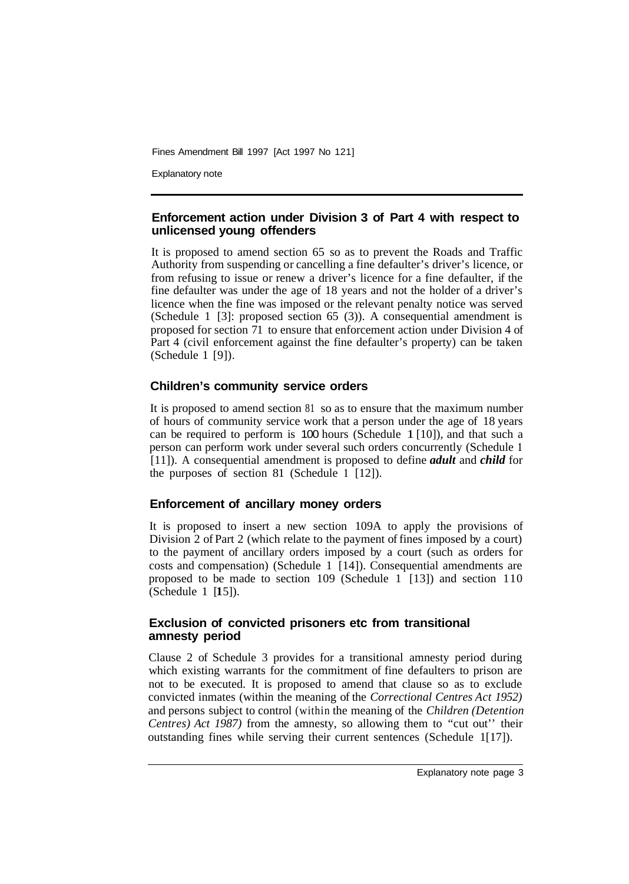Fines Amendment Bill 1997 [Act 1997 No 121]

Explanatory note

#### **Enforcement action under Division 3 of Part 4 with respect to unlicensed young offenders**

It is proposed to amend section 65 so as to prevent the Roads and Traffic Authority from suspending or cancelling a fine defaulter's driver's licence, or from refusing to issue or renew a driver's licence for a fine defaulter, if the fine defaulter was under the age of 18 years and not the holder of a driver's licence when the fine was imposed or the relevant penalty notice was served (Schedule 1 [3]: proposed section 65 (3)). A consequential amendment is proposed for section 71 to ensure that enforcement action under Division 4 of Part 4 (civil enforcement against the fine defaulter's property) can be taken (Schedule 1 [9]).

#### **Children's community service orders**

It is proposed to amend section 81 so as to ensure that the maximum number of hours of community service work that a person under the age of 18 years can be required to perform is 100 hours (Schedule 1 [10]), and that such a person can perform work under several such orders concurrently (Schedule **<sup>1</sup>** [11]). A consequential amendment is proposed to define *adult* and *child* for the purposes of section 81 (Schedule **1** [12]).

#### **Enforcement of ancillary money orders**

It is proposed to insert a new section 109A to apply the provisions of Division 2 of Part 2 (which relate to the payment of fines imposed by a court) to the payment of ancillary orders imposed by a court (such as orders for costs and compensation) (Schedule 1 [14]). Consequential amendments are proposed to be made to section 109 (Schedule  $1 \nvert 13$ ) and section 110 (Schedule 1 [15]).

#### **Exclusion of convicted prisoners etc from transitional amnesty period**

Clause 2 of Schedule 3 provides for a transitional amnesty period during which existing warrants for the commitment of fine defaulters to prison are not to be executed. It is proposed to amend that clause so as to exclude convicted inmates (within the meaning of the *Correctional Centres Act 1952)*  and persons subject to control (within the meaning of the *Children (Detention Centres) Act 1987)* from the amnesty, so allowing them to "cut out'' their outstanding fines while serving their current sentences (Schedule  $1[17]$ ).